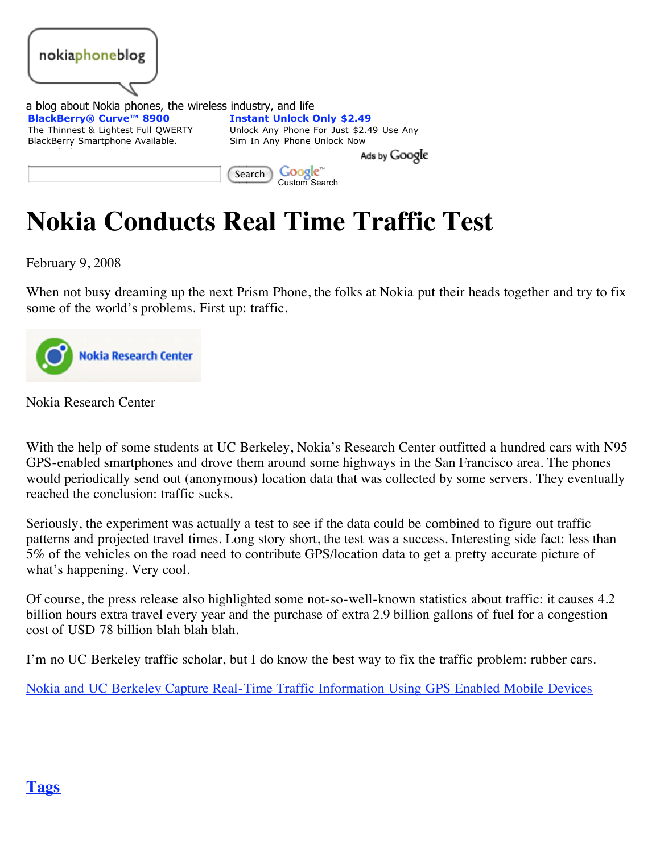

# **Nokia Conducts Real Time Traffic Test**

February 9, 2008

When not busy dreaming up the next Prism Phone, the folks at Nokia put their heads together and try to fix some of the world's problems. First up: traffic.



Nokia Research Center

With the help of some students at UC Berkeley, Nokia's Research Center outfitted a hundred cars with N95 GPS-enabled smartphones and drove them around some highways in the San Francisco area. The phones would periodically send out (anonymous) location data that was collected by some servers. They eventually reached the conclusion: traffic sucks.

Seriously, the experiment was actually a test to see if the data could be combined to figure out traffic patterns and projected travel times. Long story short, the test was a success. Interesting side fact: less than 5% of the vehicles on the road need to contribute GPS/location data to get a pretty accurate picture of what's happening. Very cool.

Of course, the press release also highlighted some not-so-well-known statistics about traffic: it causes 4.2 billion hours extra travel every year and the purchase of extra 2.9 billion gallons of fuel for a congestion cost of USD 78 billion blah blah blah.

I'm no UC Berkeley traffic scholar, but I do know the best way to fix the traffic problem: rubber cars.

[Nokia and UC Berkeley Capture Real-Time Traffic Information Using GPS Enabled Mobile Devices](http://www.nokia.com/A4136001?newsid=1189859)